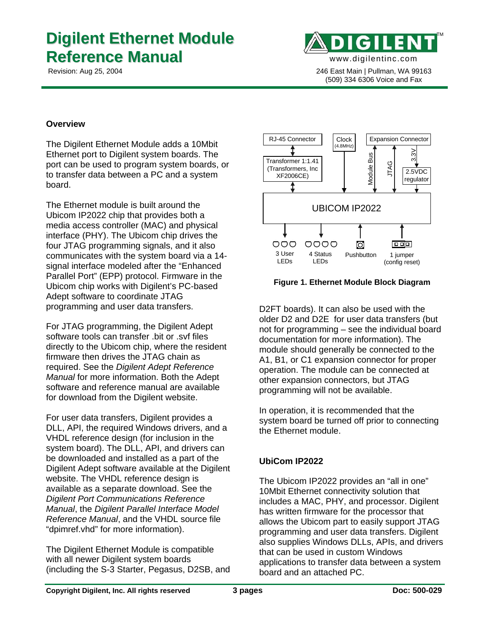# **Digilent Ethernet Module Reference Manual**



 Revision: Aug 25, 2004 246 East Main | Pullman, WA 99163 (509) 334 6306 Voice and Fax

## **Overview**

The Digilent Ethernet Module adds a 10Mbit Ethernet port to Digilent system boards. The port can be used to program system boards, or to transfer data between a PC and a system board.

The Ethernet module is built around the Ubicom IP2022 chip that provides both a media access controller (MAC) and physical interface (PHY). The Ubicom chip drives the four JTAG programming signals, and it also communicates with the system board via a 14 signal interface modeled after the "Enhanced Parallel Port" (EPP) protocol. Firmware in the Ubicom chip works with Digilent's PC-based Adept software to coordinate JTAG programming and user data transfers.

For JTAG programming, the Digilent Adept software tools can transfer .bit or .svf files directly to the Ubicom chip, where the resident firmware then drives the JTAG chain as required. See the *Digilent Adept Reference Manual* for more information. Both the Adept software and reference manual are available for download from the Digilent website.

For user data transfers, Digilent provides a DLL, API, the required Windows drivers, and a VHDL reference design (for inclusion in the system board). The DLL, API, and drivers can be downloaded and installed as a part of the Digilent Adept software available at the Digilent website. The VHDL reference design is available as a separate download. See the *Digilent Port Communications Reference Manual*, the *Digilent Parallel Interface Model Reference Manual*, and the VHDL source file "dpimref.vhd" for more information).

The Digilent Ethernet Module is compatible with all newer Digilent system boards (including the S-3 Starter, Pegasus, D2SB, and



#### **Figure 1. Ethernet Module Block Diagram**

D2FT boards). It can also be used with the older D2 and D2E for user data transfers (but not for programming – see the individual board documentation for more information). The module should generally be connected to the A1, B1, or C1 expansion connector for proper operation. The module can be connected at other expansion connectors, but JTAG programming will not be available.

In operation, it is recommended that the system board be turned off prior to connecting the Ethernet module.

## **UbiCom IP2022**

The Ubicom IP2022 provides an "all in one" 10Mbit Ethernet connectivity solution that includes a MAC, PHY, and processor. Digilent has written firmware for the processor that allows the Ubicom part to easily support JTAG programming and user data transfers. Digilent also supplies Windows DLLs, APIs, and drivers that can be used in custom Windows applications to transfer data between a system board and an attached PC.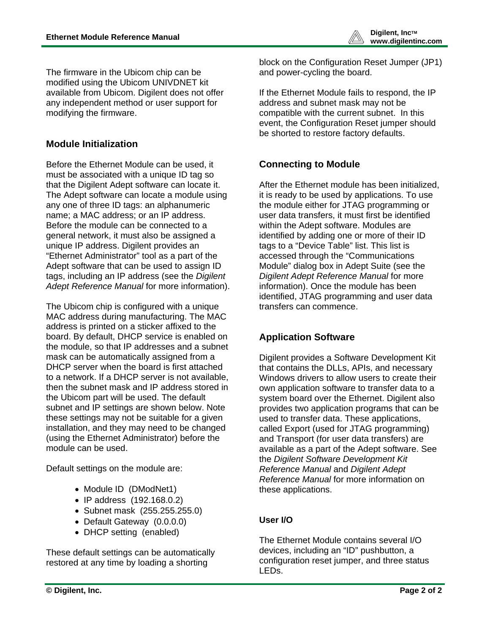The firmware in the Ubicom chip can be modified using the Ubicom UNIVDNET kit available from Ubicom. Digilent does not offer any independent method or user support for modifying the firmware.

# **Module Initialization**

Before the Ethernet Module can be used, it must be associated with a unique ID tag so that the Digilent Adept software can locate it. The Adept software can locate a module using any one of three ID tags: an alphanumeric name; a MAC address; or an IP address. Before the module can be connected to a general network, it must also be assigned a unique IP address. Digilent provides an "Ethernet Administrator" tool as a part of the Adept software that can be used to assign ID tags, including an IP address (see the *Digilent Adept Reference Manual* for more information).

The Ubicom chip is configured with a unique MAC address during manufacturing. The MAC address is printed on a sticker affixed to the board. By default, DHCP service is enabled on the module, so that IP addresses and a subnet mask can be automatically assigned from a DHCP server when the board is first attached to a network. If a DHCP server is not available, then the subnet mask and IP address stored in the Ubicom part will be used. The default subnet and IP settings are shown below. Note these settings may not be suitable for a given installation, and they may need to be changed (using the Ethernet Administrator) before the module can be used.

Default settings on the module are:

- Module ID (DModNet1)
- IP address (192.168.0.2)
- Subnet mask (255.255.255.0)
- Default Gateway (0.0.0.0)
- DHCP setting (enabled)

These default settings can be automatically restored at any time by loading a shorting

block on the Configuration Reset Jumper (JP1) and power-cycling the board.

If the Ethernet Module fails to respond, the IP address and subnet mask may not be compatible with the current subnet. In this event, the Configuration Reset jumper should be shorted to restore factory defaults.

# **Connecting to Module**

After the Ethernet module has been initialized, it is ready to be used by applications. To use the module either for JTAG programming or user data transfers, it must first be identified within the Adept software. Modules are identified by adding one or more of their ID tags to a "Device Table" list. This list is accessed through the "Communications Module" dialog box in Adept Suite (see the *Digilent Adept Reference Manual* for more information). Once the module has been identified, JTAG programming and user data transfers can commence.

# **Application Software**

Digilent provides a Software Development Kit that contains the DLLs, APIs, and necessary Windows drivers to allow users to create their own application software to transfer data to a system board over the Ethernet. Digilent also provides two application programs that can be used to transfer data. These applications, called Export (used for JTAG programming) and Transport (for user data transfers) are available as a part of the Adept software. See the *Digilent Software Development Kit Reference Manual* and *Digilent Adept Reference Manual* for more information on these applications.

# **User I/O**

The Ethernet Module contains several I/O devices, including an "ID" pushbutton, a configuration reset jumper, and three status LEDs.